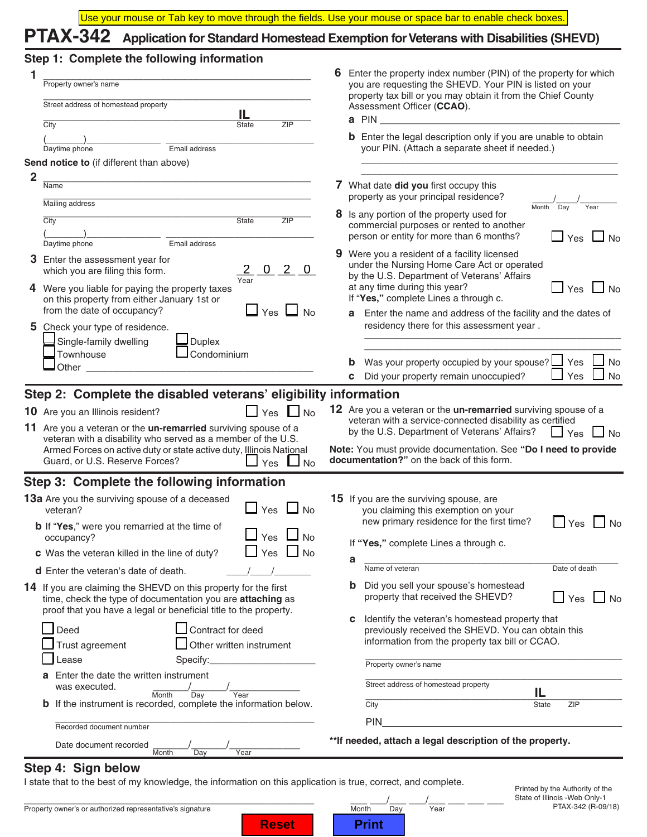## **PTAX-342 Application for Standard Homestead Exemption for Veterans with Disabilities (SHEVD)**

## **Step 1: Complete the following information**

| 1              | Property owner's name                                                                                                                                                                                                                                                                                                          |    | Enter the property index number (PIN) of the property for which<br>you are requesting the SHEVD. Your PIN is listed on your                                                                                                                                                                                             |
|----------------|--------------------------------------------------------------------------------------------------------------------------------------------------------------------------------------------------------------------------------------------------------------------------------------------------------------------------------|----|-------------------------------------------------------------------------------------------------------------------------------------------------------------------------------------------------------------------------------------------------------------------------------------------------------------------------|
|                | Street address of homestead property<br>IL                                                                                                                                                                                                                                                                                     |    | property tax bill or you may obtain it from the Chief County<br>Assessment Officer (CCAO).                                                                                                                                                                                                                              |
|                | City<br><b>ZIP</b><br><b>State</b><br>Email address<br>Daytime phone                                                                                                                                                                                                                                                           |    | a PIN<br><b>b</b> Enter the legal description only if you are unable to obtain<br>your PIN. (Attach a separate sheet if needed.)                                                                                                                                                                                        |
|                | Send notice to (if different than above)                                                                                                                                                                                                                                                                                       |    |                                                                                                                                                                                                                                                                                                                         |
| $\overline{2}$ | Name                                                                                                                                                                                                                                                                                                                           |    | 7 What date did you first occupy this                                                                                                                                                                                                                                                                                   |
|                | Mailing address                                                                                                                                                                                                                                                                                                                |    | property as your principal residence?<br>Month<br>Day<br>Year                                                                                                                                                                                                                                                           |
|                | City<br><b>State</b><br>ZIP                                                                                                                                                                                                                                                                                                    |    | 8 Is any portion of the property used for<br>commercial purposes or rented to another<br>person or entity for more than 6 months?<br>$\Box$ Yes $\Box$ No                                                                                                                                                               |
|                | Daytime phone<br>Email address<br>3 Enter the assessment year for<br>$\overline{0}$<br>$2\quad 0$<br>$2 -$<br>which you are filing this form.                                                                                                                                                                                  | 9. | Were you a resident of a facility licensed<br>under the Nursing Home Care Act or operated<br>by the U.S. Department of Veterans' Affairs                                                                                                                                                                                |
|                | Year<br>4 Were you liable for paying the property taxes<br>on this property from either January 1st or                                                                                                                                                                                                                         |    | at any time during this year?<br>$\Box$ Yes $\Box$ No<br>If "Yes," complete Lines a through c.                                                                                                                                                                                                                          |
|                | from the date of occupancy?<br>Yes I<br>No<br>5 Check your type of residence.                                                                                                                                                                                                                                                  |    | Enter the name and address of the facility and the dates of<br>a<br>residency there for this assessment year.                                                                                                                                                                                                           |
|                | Single-family dwelling<br>Duplex<br>Condominium<br>Townhouse<br>Other                                                                                                                                                                                                                                                          |    | Was your property occupied by your spouse? $\Box$ Yes<br>No<br>Yes<br>Did your property remain unoccupied?<br>No<br>C.                                                                                                                                                                                                  |
|                | Step 2: Complete the disabled veterans' eligibility information                                                                                                                                                                                                                                                                |    |                                                                                                                                                                                                                                                                                                                         |
|                | 10 Are you an Illinois resident?<br>$\sqcup$ Yes<br>⊿ No<br>11 Are you a veteran or the <b>un-remarried</b> surviving spouse of a<br>veteran with a disability who served as a member of the U.S.<br>Armed Forces on active duty or state active duty, Illinois National<br>Guard, or U.S. Reserve Forces?<br>Yes<br><b>No</b> |    | 12 Are you a veteran or the <b>un-remarried</b> surviving spouse of a<br>veteran with a service-connected disability as certified<br>by the U.S. Department of Veterans' Affairs?<br>$\Box$ Yes<br>J No<br>Note: You must provide documentation. See "Do I need to provide<br>documentation?" on the back of this form. |
|                | Step 3: Complete the following information                                                                                                                                                                                                                                                                                     |    |                                                                                                                                                                                                                                                                                                                         |
|                | 13a Are you the surviving spouse of a deceased<br>$\Box$ Yes<br><b>No</b><br>veteran?                                                                                                                                                                                                                                          |    | <b>15</b> If you are the surviving spouse, are<br>you claiming this exemption on your                                                                                                                                                                                                                                   |
|                | <b>b</b> If "Yes," were you remarried at the time of<br>$\sqcup$ Yes $\sqcup$<br>occupancy?                                                                                                                                                                                                                                    |    | new primary residence for the first time?<br>Yes<br><b>No</b><br>If "Yes," complete Lines a through c.                                                                                                                                                                                                                  |
|                | Yes $\Box$ No<br><b>c</b> Was the veteran killed in the line of duty?                                                                                                                                                                                                                                                          |    | а                                                                                                                                                                                                                                                                                                                       |
|                | <b>d</b> Enter the veteran's date of death.                                                                                                                                                                                                                                                                                    |    | Name of veteran<br>Date of death                                                                                                                                                                                                                                                                                        |
|                | <b>14</b> If you are claiming the SHEVD on this property for the first<br>time, check the type of documentation you are attaching as<br>proof that you have a legal or beneficial title to the property.                                                                                                                       |    | Did you sell your spouse's homestead<br>property that received the SHEVD?<br>$\mathbf{L}$<br>Yes<br>l No                                                                                                                                                                                                                |
|                | Deed<br>Contract for deed<br>Trust agreement<br>Other written instrument                                                                                                                                                                                                                                                       |    | Identify the veteran's homestead property that<br>с<br>previously received the SHEVD. You can obtain this<br>information from the property tax bill or CCAO.                                                                                                                                                            |
|                | Lease                                                                                                                                                                                                                                                                                                                          |    | Property owner's name                                                                                                                                                                                                                                                                                                   |
|                | Enter the date the written instrument<br>was executed.                                                                                                                                                                                                                                                                         |    | Street address of homestead property                                                                                                                                                                                                                                                                                    |
|                | Year<br>Month<br>Day<br><b>b</b> If the instrument is recorded, complete the information below.                                                                                                                                                                                                                                |    | IL<br>City<br><b>State</b><br>ZIP                                                                                                                                                                                                                                                                                       |
|                | Recorded document number                                                                                                                                                                                                                                                                                                       |    | <b>PIN</b>                                                                                                                                                                                                                                                                                                              |
|                | Date document recorded<br>Month<br>Year<br>Day                                                                                                                                                                                                                                                                                 |    | ** If needed, attach a legal description of the property.                                                                                                                                                                                                                                                               |
|                |                                                                                                                                                                                                                                                                                                                                |    |                                                                                                                                                                                                                                                                                                                         |

### **Step 4: Sign below**

I state that to the best of my knowledge, the information on this application is true, correct, and complete.

\_\_\_\_\_\_\_\_\_\_\_\_\_\_\_\_\_\_\_\_\_\_\_\_\_\_\_\_\_\_\_\_\_\_\_\_\_\_\_\_\_\_\_\_\_\_\_\_\_\_\_\_ \_\_\_ \_\_\_/\_\_\_ \_\_\_/\_\_\_ \_\_\_ \_\_\_ \_\_\_

**Reset | Print** 

Property owner's or authorized representative's signature Month Day Nonth Day Year